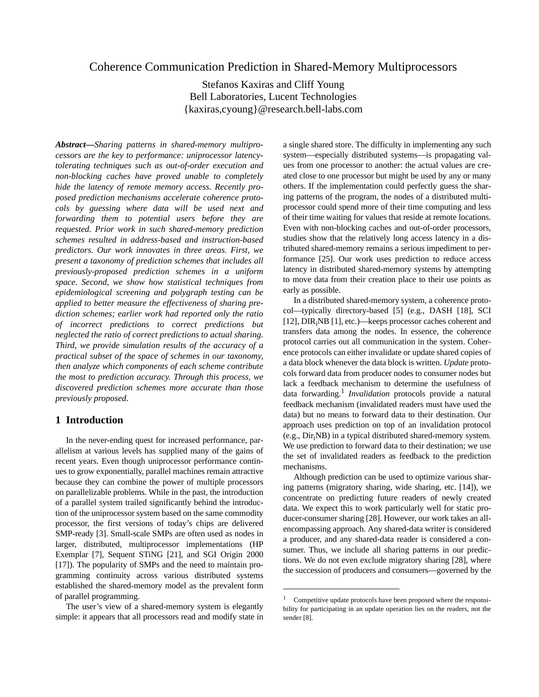# Coherence Communication Prediction in Shared-Memory Multiprocessors

Stefanos Kaxiras and Cliff Young Bell Laboratories, Lucent Technologies {kaxiras,cyoung}@research.bell-labs.com

*Abstract—Sharing patterns in shared-memory multiprocessors are the key to performance: uniprocessor latencytolerating techniques such as out-of-order execution and non-blocking caches have proved unable to completely hide the latency of remote memory access. Recently proposed prediction mechanisms accelerate coherence protocols by guessing where data will be used next and forwarding them to potential users before they are requested. Prior work in such shared-memory prediction schemes resulted in address-based and instruction-based predictors. Our work innovates in three areas. First, we present a taxonomy of prediction schemes that includes all previously-proposed prediction schemes in a uniform space. Second, we show how statistical techniques from epidemiological screening and polygraph testing can be applied to better measure the effectiveness of sharing prediction schemes; earlier work had reported only the ratio of incorrect predictions to correct predictions but neglected the ratio of correct predictions to actual sharing. Third, we provide simulation results of the accuracy of a practical subset of the space of schemes in our taxonomy, then analyze which components of each scheme contribute the most to prediction accuracy. Through this process, we discovered prediction schemes more accurate than those previously proposed.* 

# **1 Introduction**

In the never-ending quest for increased performance, parallelism at various levels has supplied many of the gains of recent years. Even though uniprocessor performance continues to grow exponentially, parallel machines remain attractive because they can combine the power of multiple processors on parallelizable problems. While in the past, the introduction of a parallel system trailed significantly behind the introduction of the uniprocessor system based on the same commodity processor, the first versions of today's chips are delivered SMP-ready [\[3\]](#page-10-0). Small-scale SMPs are often used as nodes in larger, distributed, multiprocessor implementations (HP Exemplar [\[7\],](#page-10-0) Sequent STiNG [\[21\],](#page-11-0) and SGI Origin 2000 [\[17\]\)](#page-11-0). The popularity of SMPs and the need to maintain programming continuity across various distributed systems established the shared-memory model as the prevalent form of parallel programming.

The user's view of a shared-memory system is elegantly simple: it appears that all processors read and modify state in

a single shared store. The difficulty in implementing any such system—especially distributed systems—is propagating values from one processor to another: the actual values are created close to one processor but might be used by any or many others. If the implementation could perfectly guess the sharing patterns of the program, the nodes of a distributed multiprocessor could spend more of their time computing and less of their time waiting for values that reside at remote locations. Even with non-blocking caches and out-of-order processors, studies show that the relatively long access latency in a distributed shared-memory remains a serious impediment to performance [\[25\]](#page-11-0). Our work uses prediction to reduce access latency in distributed shared-memory systems by attempting to move data from their creation place to their use points as early as possible.

In a distributed shared-memory system, a coherence protocol—typically directory-based [\[5\]](#page-10-0) (e.g., DASH [\[18\]](#page-11-0), SCI [\[12\],](#page-11-0) DIR<sub>i</sub>NB [\[1\],](#page-10-0) etc.)—keeps processor caches coherent and transfers data among the nodes. In essence, the coherence protocol carries out all communication in the system. Coherence protocols can either invalidate or update shared copies of a data block whenever the data block is written. *Update* protocols forward data from producer nodes to consumer nodes but lack a feedback mechanism to determine the usefulness of data forwarding.1 *Invalidation* protocols provide a natural feedback mechanism (invalidated readers must have used the data) but no means to forward data to their destination. Our approach uses prediction on top of an invalidation protocol (e.g., Dir<sub>i</sub>NB) in a typical distributed shared-memory system. We use prediction to forward data to their destination; we use the set of invalidated readers as feedback to the prediction mechanisms.

Although prediction can be used to optimize various sharing patterns (migratory sharing, wide sharing, etc. [\[14\]\)](#page-11-0), we concentrate on predicting future readers of newly created data. We expect this to work particularly well for static producer-consumer sharing [\[28\].](#page-11-0) However, our work takes an allencompassing approach. Any shared-data writer is considered a producer, and any shared-data reader is considered a consumer. Thus, we include all sharing patterns in our predictions. We do not even exclude migratory sharing [\[28\],](#page-11-0) where the succession of producers and consumers—governed by the

Competitive update protocols have been proposed where the responsibility for participating in an update operation lies on the readers, not the sender [\[8\].](#page-11-0)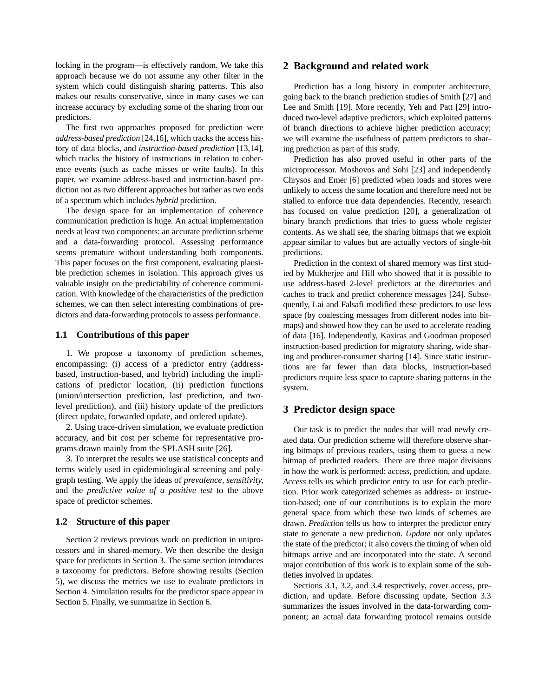locking in the program—is effectively random. We take this approach because we do not assume any other filter in the system which could distinguish sharing patterns. This also makes our results conservative, since in many cases we can increase accuracy by excluding some of the sharing from our predictors.

The first two approaches proposed for prediction were *address-based prediction* [\[24](#page-11-0)*,*[16\],](#page-11-0) which tracks the access history of data blocks, and *instruction-based prediction* [\[13](#page-11-0)*,*[14\],](#page-11-0) which tracks the history of instructions in relation to coherence events (such as cache misses or write faults). In this paper, we examine address-based and instruction-based prediction not as two different approaches but rather as two ends of a spectrum which includes *hybrid* prediction.

The design space for an implementation of coherence communication prediction is huge. An actual implementation needs at least two components: an accurate prediction scheme and a data-forwarding protocol. Assessing performance seems premature without understanding both components. This paper focuses on the first component, evaluating plausible prediction schemes in isolation. This approach gives us valuable insight on the predictability of coherence communication. With knowledge of the characteristics of the prediction schemes, we can then select interesting combinations of predictors and data-forwarding protocols to assess performance.

## **1.1 Contributions of this paper**

1. We propose a taxonomy of prediction schemes, encompassing: (i) access of a predictor entry (addressbased, instruction-based, and hybrid) including the implications of predictor location, (ii) prediction functions (union/intersection prediction, last prediction, and twolevel prediction), and (iii) history update of the predictors (direct update, forwarded update, and ordered update).

2. Using trace-driven simulation, we evaluate prediction accuracy, and bit cost per scheme for representative programs drawn mainly from the SPLASH suite [\[26\]](#page-11-0).

3. To interpret the results we use statistical concepts and terms widely used in epidemiological screening and polygraph testing. We apply the ideas of *prevalence, sensitivity*, and the *predictive value of a positive test* to the above space of predictor schemes.

# **1.2 Structure of this paper**

Section 2 reviews previous work on prediction in uniprocessors and in shared-memory. We then describe the design space for predictors in Section 3. The same section introduces a taxonomy for predictors. Before showing results [\(Section](#page-6-0) [5\)](#page-6-0), we discuss the metrics we use to evaluate predictors in [Section 4.](#page-5-0) Simulation results for the predictor space appear in [Section 5.](#page-6-0) Finally, we summarize in [Section 6](#page-9-0).

# **2 Background and related work**

Prediction has a long history in computer architecture, going back to the branch prediction studies of Smith [\[27\]](#page-11-0) and Lee and Smith [\[19\].](#page-11-0) More recently, Yeh and Patt [\[29\]](#page-11-0) introduced two-level adaptive predictors, which exploited patterns of branch directions to achieve higher prediction accuracy; we will examine the usefulness of pattern predictors to sharing prediction as part of this study.

Prediction has also proved useful in other parts of the microprocessor. Moshovos and Sohi [\[23\]](#page-11-0) and independently Chrysos and Emer [\[6\]](#page-10-0) predicted when loads and stores were unlikely to access the same location and therefore need not be stalled to enforce true data dependencies. Recently, research has focused on value prediction [\[20\]](#page-11-0), a generalization of binary branch predictions that tries to guess whole register contents. As we shall see, the sharing bitmaps that we exploit appear similar to values but are actually vectors of single-bit predictions.

Prediction in the context of shared memory was first studied by Mukherjee and Hill who showed that it is possible to use address-based 2-level predictors at the directories and caches to track and predict coherence messages [\[24\].](#page-11-0) Subsequently, Lai and Falsafi modified these predictors to use less space (by coalescing messages from different nodes into bitmaps) and showed how they can be used to accelerate reading of data [\[16\].](#page-11-0) Independently, Kaxiras and Goodman proposed instruction-based prediction for migratory sharing, wide sharing and producer-consumer sharing [\[14\]](#page-11-0). Since static instructions are far fewer than data blocks, instruction-based predictors require less space to capture sharing patterns in the system.

# **3 Predictor design space**

Our task is to predict the nodes that will read newly created data. Our prediction scheme will therefore observe sharing bitmaps of previous readers, using them to guess a new bitmap of predicted readers. There are three major divisions in how the work is performed: access, prediction, and update. *Access* tells us which predictor entry to use for each prediction. Prior work categorized schemes as address- or instruction-based; one of our contributions is to explain the more general space from which these two kinds of schemes are drawn. *Prediction* tells us how to interpret the predictor entry state to generate a new prediction. *Update* not only updates the state of the predictor; it also covers the timing of when old bitmaps arrive and are incorporated into the state. A second major contribution of this work is to explain some of the subtleties involved in updates.

Sections [3.1](#page-2-0), [3.2,](#page-2-0) and [3.4](#page-3-0) respectively, cover access, prediction, and update. Before discussing update, [Section 3.3](#page-3-0) summarizes the issues involved in the data-forwarding component; an actual data forwarding protocol remains outside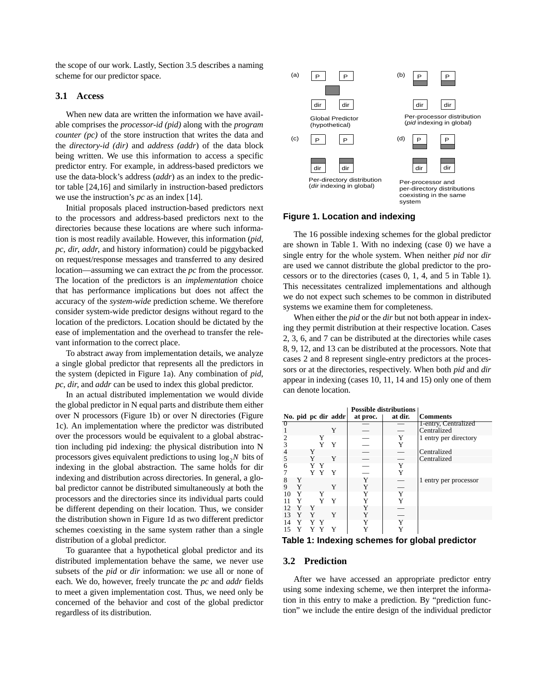<span id="page-2-0"></span>the scope of our work. Lastly, [Section 3.5](#page-4-0) describes a naming scheme for our predictor space.

## **3.1 Access**

When new data are written the information we have available comprises the *processor-id (pid)* along with the *program counter (pc)* of the store instruction that writes the data and the *directory-id (dir)* and *address (addr*) of the data block being written. We use this information to access a specific predictor entry. For example, in address-based predictors we use the data-block's address (*addr*) as an index to the predictor table [\[24,16\]](#page-11-0) and similarly in instruction-based predictors we use the instruction's *pc* as an index [\[14\].](#page-11-0)

Initial proposals placed instruction-based predictors next to the processors and address-based predictors next to the directories because these locations are where such information is most readily available. However, this information (*pid*, *pc*, *dir*, *addr*, and history information) could be piggybacked on request/response messages and transferred to any desired location—assuming we can extract the *pc* from the processor. The location of the predictors is an *implementation* choice that has performance implications but does not affect the accuracy of the *system-wide* prediction scheme. We therefore consider system-wide predictor designs without regard to the location of the predictors. Location should be dictated by the ease of implementation and the overhead to transfer the relevant information to the correct place.

To abstract away from implementation details, we analyze a single global predictor that represents all the predictors in the system (depicted in Figure 1a). Any combination of *pid*, *pc*, *dir*, and *addr* can be used to index this global predictor.

In an actual distributed implementation we would divide the global predictor in N equal parts and distribute them either over N processors (Figure 1b) or over N directories (Figure 1c). An implementation where the predictor was distributed over the processors would be equivalent to a global abstraction including pid indexing: the physical distribution into N processors gives equivalent predictions to using  $\log_2 N$  bits of indexing in the global abstraction. The same holds for dir indexing and distribution across directories. In general, a global predictor cannot be distributed simultaneously at both the processors and the directories since its individual parts could be different depending on their location. Thus, we consider the distribution shown in Figure 1d as two different predictor schemes coexisting in the same system rather than a single distribution of a global predictor.

To guarantee that a hypothetical global predictor and its distributed implementation behave the same, we never use subsets of the *pid* or *dir* information: we use all or none of each. We do, however, freely truncate the *pc* and *addr* fields to meet a given implementation cost. Thus, we need only be concerned of the behavior and cost of the global predictor regardless of its distribution.



#### **Figure 1. Location and indexing**

The 16 possible indexing schemes for the global predictor are shown in Table 1. With no indexing (case 0) we have a single entry for the whole system. When neither *pid* nor *dir* are used we cannot distribute the global predictor to the processors or to the directories (cases 0, 1, 4, and 5 in Table 1). This necessitates centralized implementations and although we do not expect such schemes to be common in distributed systems we examine them for completeness.

system

When either the *pid* or the *dir* but not both appear in indexing they permit distribution at their respective location. Cases 2, 3, 6, and 7 can be distributed at the directories while cases 8, 9, 12, and 13 can be distributed at the processors. Note that cases 2 and 8 represent single-entry predictors at the processors or at the directories, respectively. When both *pid* and *dir* appear in indexing (cases 10, 11, 14 and 15) only one of them can denote location.

| <b>Possible distributions</b> |          |         |                       |
|-------------------------------|----------|---------|-----------------------|
| No. pid pc dir addr           | at proc. | at dir. | <b>Comments</b>       |
| $\left($                      |          |         | 1-entry, Centralized  |
| Y<br>1                        |          |         | Centralized           |
| $\overline{2}$<br>Y           |          | Y       | 1 entry per directory |
| 3<br>Y                        |          | Y       |                       |
| 4<br>Y                        |          |         | Centralized           |
| 5<br>Y<br>Y                   |          |         | Centralized           |
| 6<br>ΥY                       |          | Y       |                       |
| Y Y<br>Y                      |          | Y       |                       |
| 8<br>Y                        | Y        |         | 1 entry per processor |
| Y<br>9<br>Y                   | Y        |         |                       |
| Y<br>Y<br>10                  | Y        | Y       |                       |
| Y<br>$\mathbf{Y}$             |          | Y       |                       |
| 12                            | Y        |         |                       |
| Y<br>Y<br>Y<br>13             | Y        |         |                       |
| ΥY<br>14                      | Y        |         |                       |
| 15                            |          |         |                       |

## **Table 1: Indexing schemes for global predictor**

#### **3.2 Prediction**

After we have accessed an appropriate predictor entry using some indexing scheme, we then interpret the information in this entry to make a prediction. By "prediction function" we include the entire design of the individual predictor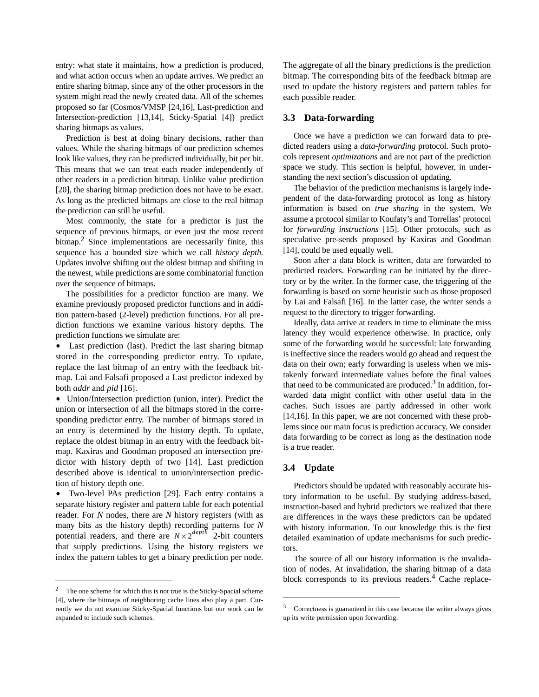<span id="page-3-0"></span>entry: what state it maintains, how a prediction is produced, and what action occurs when an update arrives. We predict an entire sharing bitmap, since any of the other processors in the system might read the newly created data. All of the schemes proposed so far (Cosmos/VMSP [\[24](#page-11-0),[16\]](#page-11-0), Last-prediction and Intersection-prediction [\[13,14\],](#page-11-0) Sticky-Spatial [\[4\]](#page-10-0)) predict sharing bitmaps as values.

Prediction is best at doing binary decisions, rather than values. While the sharing bitmaps of our prediction schemes look like values, they can be predicted individually, bit per bit. This means that we can treat each reader independently of other readers in a prediction bitmap. Unlike value prediction [\[20\],](#page-11-0) the sharing bitmap prediction does not have to be exact. As long as the predicted bitmaps are close to the real bitmap the prediction can still be useful.

Most commonly, the state for a predictor is just the sequence of previous bitmaps, or even just the most recent bitmap.<sup>2</sup> Since implementations are necessarily finite, this sequence has a bounded size which we call *history depth*. Updates involve shifting out the oldest bitmap and shifting in the newest, while predictions are some combinatorial function over the sequence of bitmaps.

The possibilities for a predictor function are many. We examine previously proposed predictor functions and in addition pattern-based (2-level) prediction functions. For all prediction functions we examine various history depths. The prediction functions we simulate are:

**•** Last prediction (last). Predict the last sharing bitmap stored in the corresponding predictor entry. To update, replace the last bitmap of an entry with the feedback bitmap. Lai and Falsafi proposed a Last predictor indexed by both *addr* and *pid* [\[16\].](#page-11-0)

**•** Union/Intersection prediction (union, inter). Predict the union or intersection of all the bitmaps stored in the corresponding predictor entry. The number of bitmaps stored in an entry is determined by the history depth. To update, replace the oldest bitmap in an entry with the feedback bitmap. Kaxiras and Goodman proposed an intersection predictor with history depth of two [\[14\].](#page-11-0) Last prediction described above is identical to union/intersection prediction of history depth one.

**•** Two-level PAs prediction [\[29\]](#page-11-0). Each entry contains a separate history register and pattern table for each potential reader. For *N* nodes, there are *N* history registers (with as many bits as the history depth) recording patterns for *N* potential readers, and there are  $N \times 2^{depth}$  2-bit counters that supply predictions. Using the history registers we index the pattern tables to get a binary prediction per node. The aggregate of all the binary predictions is the prediction bitmap. The corresponding bits of the feedback bitmap are used to update the history registers and pattern tables for each possible reader.

### **3.3 Data-forwarding**

Once we have a prediction we can forward data to predicted readers using a *data-forwarding* protocol. Such protocols represent *optimizations* and are not part of the prediction space we study. This section is helpful, however, in understanding the next section's discussion of updating.

The behavior of the prediction mechanisms is largely independent of the data-forwarding protocol as long as history information is based on *true sharing* in the system. We assume a protocol similar to Koufaty's and Torrellas' protocol for *forwarding instructions* [\[15\].](#page-11-0) Other protocols, such as speculative pre-sends proposed by Kaxiras and Goodman [\[14\],](#page-11-0) could be used equally well.

Soon after a data block is written, data are forwarded to predicted readers. Forwarding can be initiated by the directory or by the writer. In the former case, the triggering of the forwarding is based on some heuristic such as those proposed by Lai and Falsafi [\[16\]](#page-11-0). In the latter case, the writer sends a request to the directory to trigger forwarding.

Ideally, data arrive at readers in time to eliminate the miss latency they would experience otherwise. In practice, only some of the forwarding would be successful: late forwarding is ineffective since the readers would go ahead and request the data on their own; early forwarding is useless when we mistakenly forward intermediate values before the final values that need to be communicated are produced.<sup>3</sup> In addition, forwarded data might conflict with other useful data in the caches. Such issues are partly addressed in other work [\[14,16\].](#page-11-0) In this paper, we are not concerned with these problems since our main focus is prediction accuracy. We consider data forwarding to be correct as long as the destination node is a true reader.

# **3.4 Update**

Predictors should be updated with reasonably accurate history information to be useful. By studying address-based, instruction-based and hybrid predictors we realized that there are differences in the ways these predictors can be updated with history information. To our knowledge this is the first detailed examination of update mechanisms for such predictors.

The source of all our history information is the invalidation of nodes. At invalidation, the sharing bitmap of a data block corresponds to its previous readers.<sup>4</sup> Cache replace-

<sup>&</sup>lt;sup>2</sup> The one scheme for which this is not true is the Sticky-Spacial scheme [\[4\]](#page-10-0), where the bitmaps of neighboring cache lines also play a part. Currently we do not examine Sticky-Spacial functions but our work can be expanded to include such schemes.

<sup>3</sup> Correctness is guaranteed in this case because the writer always gives up its write permission upon forwarding.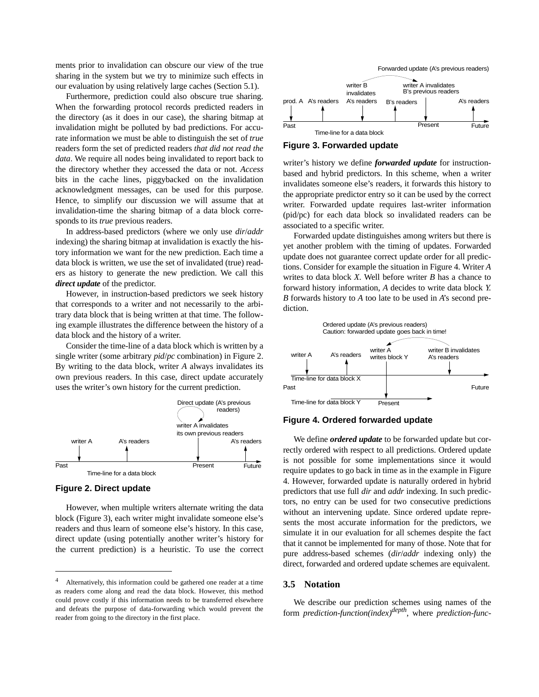<span id="page-4-0"></span>ments prior to invalidation can obscure our view of the true sharing in the system but we try to minimize such effects in our evaluation by using relatively large caches [\(Section 5.1](#page-6-0)).

Furthermore, prediction could also obscure true sharing. When the forwarding protocol records predicted readers in the directory (as it does in our case), the sharing bitmap at invalidation might be polluted by bad predictions. For accurate information we must be able to distinguish the set of *true* readers form the set of predicted readers *that did not read the data*. We require all nodes being invalidated to report back to the directory whether they accessed the data or not. *Access* bits in the cache lines, piggybacked on the invalidation acknowledgment messages, can be used for this purpose. Hence, to simplify our discussion we will assume that at invalidation-time the sharing bitmap of a data block corresponds to its *true* previous readers.

In address-based predictors (where we only use *dir*/*addr* indexing) the sharing bitmap at invalidation is exactly the history information we want for the new prediction. Each time a data block is written, we use the set of invalidated (true) readers as history to generate the new prediction. We call this *direct update* of the predictor.

However, in instruction-based predictors we seek history that corresponds to a writer and not necessarily to the arbitrary data block that is being written at that time. The following example illustrates the difference between the history of a data block and the history of a writer.

Consider the time-line of a data block which is written by a single writer (some arbitrary *pid*/*pc* combination) in Figure 2. By writing to the data block, writer *A* always invalidates its own previous readers. In this case, direct update accurately uses the writer's own history for the current prediction.



#### **Figure 2. Direct update**

However, when multiple writers alternate writing the data block (Figure 3), each writer might invalidate someone else's readers and thus learn of someone else's history. In this case, direct update (using potentially another writer's history for the current prediction) is a heuristic. To use the correct



## **Figure 3. Forwarded update**

writer's history we define *forwarded update* for instructionbased and hybrid predictors. In this scheme, when a writer invalidates someone else's readers, it forwards this history to the appropriate predictor entry so it can be used by the correct writer. Forwarded update requires last-writer information (pid/pc) for each data block so invalidated readers can be associated to a specific writer.

Forwarded update distinguishes among writers but there is yet another problem with the timing of updates. Forwarded update does not guarantee correct update order for all predictions. Consider for example the situation in Figure 4. Writer *A* writes to data block *X*. Well before writer *B* has a chance to forward history information, *A* decides to write data block *Y*. *B* forwards history to *A* too late to be used in *A*'s second prediction.



## **Figure 4. Ordered forwarded update**

We define *ordered update* to be forwarded update but correctly ordered with respect to all predictions. Ordered update is not possible for some implementations since it would require updates to go back in time as in the example in Figure 4. However, forwarded update is naturally ordered in hybrid predictors that use full *dir* and *addr* indexing. In such predictors, no entry can be used for two consecutive predictions without an intervening update. Since ordered update represents the most accurate information for the predictors, we simulate it in our evaluation for all schemes despite the fact that it cannot be implemented for many of those. Note that for pure address-based schemes (*dir*/*addr* indexing only) the direct, forwarded and ordered update schemes are equivalent.

# **3.5 Notation**

We describe our prediction schemes using names of the form *prediction-function(index)<sup>depth</sup>*, where *prediction-func-*

<sup>4</sup> Alternatively, this information could be gathered one reader at a time as readers come along and read the data block. However, this method could prove costly if this information needs to be transferred elsewhere and defeats the purpose of data-forwarding which would prevent the reader from going to the directory in the first place.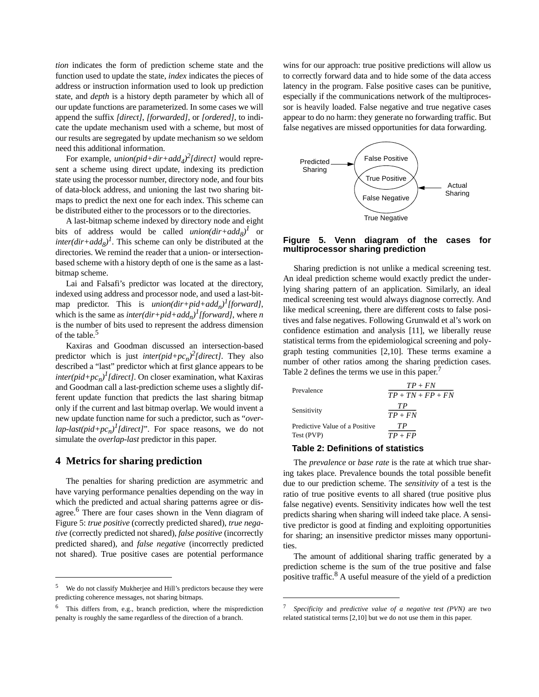<span id="page-5-0"></span>*tion* indicates the form of prediction scheme state and the function used to update the state, *index* indicates the pieces of address or instruction information used to look up prediction state, and *depth* is a history depth parameter by which all of our update functions are parameterized. In some cases we will append the suffix *[direct]*, *[forwarded]*, or *[ordered]*, to indicate the update mechanism used with a scheme, but most of our results are segregated by update mechanism so we seldom need this additional information.

For example, *union(pid+dir+add<sub>4</sub>)<sup>2</sup>[direct]* would represent a scheme using direct update, indexing its prediction state using the processor number, directory node, and four bits of data-block address, and unioning the last two sharing bitmaps to predict the next one for each index. This scheme can be distributed either to the processors or to the directories.

A last-bitmap scheme indexed by directory node and eight bits of address would be called *union(dir+add<sub>8</sub>)*<sup>*1*</sup> or *inter(dir+add<sub>8</sub>)*<sup>*1*</sup>. This scheme can only be distributed at the directories. We remind the reader that a union- or intersectionbased scheme with a history depth of one is the same as a lastbitmap scheme.

Lai and Falsafi's predictor was located at the directory, indexed using address and processor node, and used a last-bitmap predictor. This is  $union(dr+pid+add_n)^I$  [forward], which is the same as  $\text{inter}(dir + pid + add_n)^I$  [forward], where *n* is the number of bits used to represent the address dimension of the table.<sup>5</sup>

Kaxiras and Goodman discussed an intersection-based predictor which is just *inter(pid+pc<sub>n</sub>)*<sup>2</sup>[direct]. They also described a "last" predictor which at first glance appears to be  $inter(pid+pc_n)^I$ [direct]. On closer examination, what Kaxiras and Goodman call a last-prediction scheme uses a slightly different update function that predicts the last sharing bitmap only if the current and last bitmap overlap. We would invent a new update function name for such a predictor, such as "*over* $lap\text{-}last(pid\text{+}pc_n)^I$ [direct]". For space reasons, we do not simulate the *overlap-last* predictor in this paper.

# **4 Metrics for sharing prediction**

The penalties for sharing prediction are asymmetric and have varying performance penalties depending on the way in which the predicted and actual sharing patterns agree or disagree.6 There are four cases shown in the Venn diagram of Figure 5: *true positive* (correctly predicted shared), *true negative* (correctly predicted not shared), *false positive* (incorrectly predicted shared), and *false negative* (incorrectly predicted not shared). True positive cases are potential performance wins for our approach: true positive predictions will allow us to correctly forward data and to hide some of the data access latency in the program. False positive cases can be punitive, especially if the communications network of the multiprocessor is heavily loaded. False negative and true negative cases appear to do no harm: they generate no forwarding traffic. But false negatives are missed opportunities for data forwarding.



#### **Figure 5. Venn diagram of the cases for multiprocessor sharing prediction**

Sharing prediction is not unlike a medical screening test. An ideal prediction scheme would exactly predict the underlying sharing pattern of an application. Similarly, an ideal medical screening test would always diagnose correctly. And like medical screening, there are different costs to false positives and false negatives. Following Grunwald et al's work on confidence estimation and analysis [[11](#page-11-0)], we liberally reuse statistical terms from the epidemiological screening and polygraph testing communities [[2,](#page-10-0)[10\]](#page-11-0). These terms examine a number of other ratios among the sharing prediction cases. Table 2 defines the terms we use in this paper.<sup>7</sup>

| Prevalence                                   | $TP + FN$           |  |  |
|----------------------------------------------|---------------------|--|--|
|                                              | $TP + TN + FP + FN$ |  |  |
| Sensitivity                                  | TР<br>$TP + FN$     |  |  |
| Predictive Value of a Positive<br>Test (PVP) | TР<br>$TP + FP$     |  |  |

## **Table 2: Definitions of statistics**

The *prevalence* or *base rate* is the rate at which true sharing takes place. Prevalence bounds the total possible benefit due to our prediction scheme. The *sensitivity* of a test is the ratio of true positive events to all shared (true positive plus false negative) events. Sensitivity indicates how well the test predicts sharing when sharing will indeed take place. A sensitive predictor is good at finding and exploiting opportunities for sharing; an insensitive predictor misses many opportunities.

The amount of additional sharing traffic generated by a prediction scheme is the sum of the true positive and false positive traffic. $8$  A useful measure of the yield of a prediction

<sup>5</sup> We do not classify Mukherjee and Hill's predictors because they were predicting coherence messages, not sharing bitmaps.

This differs from, e.g., branch prediction, where the misprediction penalty is roughly the same regardless of the direction of a branch.

<sup>7</sup> *Specificity* and *predictive value of a negative test (PVN)* are two related statistical terms [\[2](#page-10-0)[,10](#page-11-0)] but we do not use them in this paper.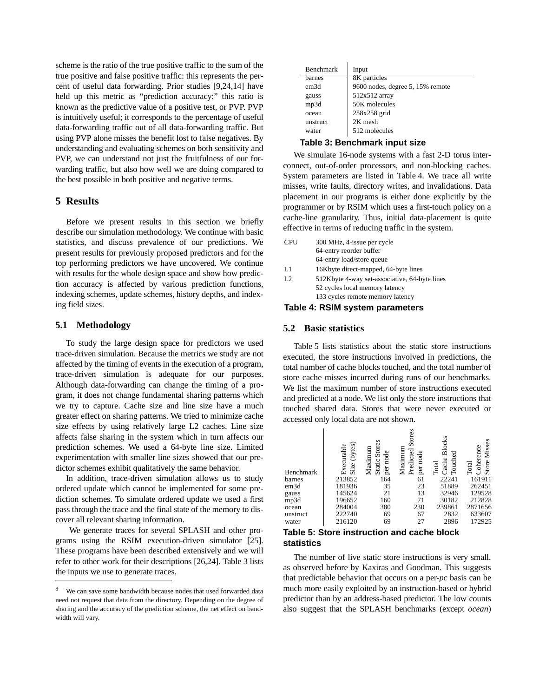<span id="page-6-0"></span>scheme is the ratio of the true positive traffic to the sum of the true positive and false positive traffic: this represents the percent of useful data forwarding. Prior studies [[9,24,14](#page-11-0)] have held up this metric as "prediction accuracy;" this ratio is known as the predictive value of a positive test, or PVP. PVP is intuitively useful; it corresponds to the percentage of useful data-forwarding traffic out of all data-forwarding traffic. But using PVP alone misses the benefit lost to false negatives. By understanding and evaluating schemes on both sensitivity and PVP, we can understand not just the fruitfulness of our forwarding traffic, but also how well we are doing compared to the best possible in both positive and negative terms.

# **5 Results**

Before we present results in this section we briefly describe our simulation methodology. We continue with basic statistics, and discuss prevalence of our predictions. We present results for previously proposed predictors and for the top performing predictors we have uncovered. We continue with results for the whole design space and show how prediction accuracy is affected by various prediction functions, indexing schemes, update schemes, history depths, and indexing field sizes.

# **5.1 Methodology**

To study the large design space for predictors we used trace-driven simulation. Because the metrics we study are not affected by the timing of events in the execution of a program, trace-driven simulation is adequate for our purposes. Although data-forwarding can change the timing of a program, it does not change fundamental sharing patterns which we try to capture. Cache size and line size have a much greater effect on sharing patterns. We tried to minimize cache size effects by using relatively large L2 caches. Line size affects false sharing in the system which in turn affects our prediction schemes. We used a 64-byte line size. Limited experimentation with smaller line sizes showed that our predictor schemes exhibit qualitatively the same behavior.

In addition, trace-driven simulation allows us to study ordered update which cannot be implemented for some prediction schemes. To simulate ordered update we used a first pass through the trace and the final state of the memory to discover all relevant sharing information.

 We generate traces for several SPLASH and other programs using the RSIM execution-driven simulator [\[25\].](#page-11-0) These programs have been described extensively and we will refer to other work for their descriptions [\[26,24\]](#page-11-0). Table 3 lists the inputs we use to generate traces.

| <b>Benchmark</b> | Input                            |
|------------------|----------------------------------|
| barnes           | 8K particles                     |
| em <sub>3d</sub> | 9600 nodes, degree 5, 15% remote |
| gauss            | 512x512 array                    |
| mp3d             | 50K molecules                    |
| ocean            | 258x258 grid                     |
| unstruct         | $2K$ mesh                        |
| water            | 512 molecules                    |
|                  |                                  |

## **Table 3: Benchmark input size**

We simulate 16-node systems with a fast 2-D torus interconnect, out-of-order processors, and non-blocking caches. System parameters are listed in Table 4. We trace all write misses, write faults, directory writes, and invalidations. Data placement in our programs is either done explicitly by the programmer or by RSIM which uses a first-touch policy on a cache-line granularity. Thus, initial data-placement is quite effective in terms of reducing traffic in the system.

| <b>CPU</b>     | 300 MHz, 4-issue per cycle                     |
|----------------|------------------------------------------------|
|                | 64-entry reorder buffer                        |
|                | 64-entry load/store queue                      |
| L1             | 16Kbyte direct-mapped, 64-byte lines           |
| L <sub>2</sub> | 512K byte 4-way set-associative, 64-byte lines |
|                | 52 cycles local memory latency                 |
|                | 133 cycles remote memory latency               |
|                |                                                |

#### **Table 4: RSIM system parameters**

# **5.2 Basic statistics**

Table 5 lists statistics about the static store instructions executed, the store instructions involved in predictions, the total number of cache blocks touched, and the total number of store cache misses incurred during runs of our benchmarks. We list the maximum number of store instructions executed and predicted at a node. We list only the store instructions that touched shared data. Stores that were never executed or accessed only local data are not shown.

| Benchmark        | (bytes)<br>Executable<br>Size | Stores<br>Maximum<br>node<br>Static<br>per | Stores<br>Maximum<br>Predicted<br>node<br>per | <b>Blocks</b><br>Touched<br>Cache <sup>[1]</sup><br>Total | Store Misses<br>Coherence<br>Total |
|------------------|-------------------------------|--------------------------------------------|-----------------------------------------------|-----------------------------------------------------------|------------------------------------|
| barnes           | 213852                        | 164                                        | 61                                            | 22241                                                     | 161911                             |
| em <sub>3d</sub> | 181936                        | 35                                         | 23                                            | 51889                                                     | 262451                             |
| gauss            | 145624                        | 21                                         | 13                                            | 32946                                                     | 129528                             |
| mp3d             | 196652                        | 160                                        | 71                                            | 30182                                                     | 212828                             |
| ocean            | 284004                        | 380                                        | 230                                           | 239861                                                    | 2871656                            |
| unstruct         | 222740                        | 69                                         | 67                                            | 2832                                                      | 633607                             |
| water            | 216120                        | 69                                         | 27                                            | 2896                                                      | 172925                             |

# **Table 5: Store instruction and cache block statistics**

The number of live static store instructions is very small, as observed before by Kaxiras and Goodman. This suggests that predictable behavior that occurs on a per-*pc* basis can be much more easily exploited by an instruction-based or hybrid predictor than by an address-based predictor. The low counts also suggest that the SPLASH benchmarks (except *ocean*)

We can save some bandwidth because nodes that used forwarded data need not request that data from the directory. Depending on the degree of sharing and the accuracy of the prediction scheme, the net effect on bandwidth will vary.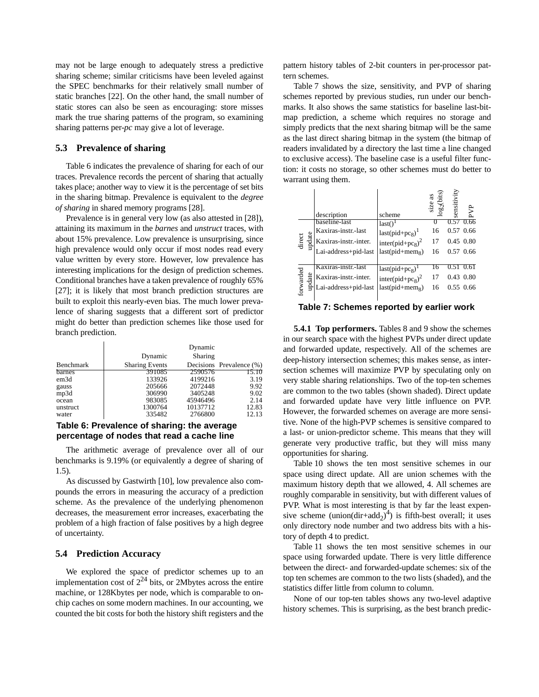may not be large enough to adequately stress a predictive sharing scheme; similar criticisms have been leveled against the SPEC benchmarks for their relatively small number of static branches [\[22\]](#page-11-0). On the other hand, the small number of static stores can also be seen as encouraging: store misses mark the true sharing patterns of the program, so examining sharing patterns per-*pc* may give a lot of leverage.

## **5.3 Prevalence of sharing**

Table 6 indicates the prevalence of sharing for each of our traces. Prevalence records the percent of sharing that actually takes place; another way to view it is the percentage of set bits in the sharing bitmap. Prevalence is equivalent to the *degree of sharing* in shared memory programs [\[28\]](#page-11-0).

Prevalence is in general very low (as also attested in [\[28\]\)](#page-11-0), attaining its maximum in the *barnes* and *unstruct* traces, with about 15% prevalence. Low prevalence is unsurprising, since high prevalence would only occur if most nodes read every value written by every store. However, low prevalence has interesting implications for the design of prediction schemes. Conditional branches have a taken prevalence of roughly 65% [\[27\];](#page-11-0) it is likely that most branch prediction structures are built to exploit this nearly-even bias. The much lower prevalence of sharing suggests that a different sort of predictor might do better than prediction schemes like those used for branch prediction.

|                  |                       | Dynamic  |                          |
|------------------|-----------------------|----------|--------------------------|
|                  | Dynamic               | Sharing  |                          |
| Benchmark        | <b>Sharing Events</b> |          | Decisions Prevalence (%) |
| <b>barnes</b>    | 391085                | 2590576  | 15.10                    |
| em <sub>3d</sub> | 133926                | 4199216  | 3.19                     |
| gauss            | 205666                | 2072448  | 9.92                     |
| mp3d             | 306990                | 3405248  | 9.02                     |
| ocean            | 983085                | 45946496 | 2.14                     |
| unstruct         | 1300764               | 10137712 | 12.83                    |
| water            | 335482                | 2766800  | 12.13                    |

# **Table 6: Prevalence of sharing: the average percentage of nodes that read a cache line**

The arithmetic average of prevalence over all of our benchmarks is 9.19% (or equivalently a degree of sharing of 1.5).

As discussed by Gastwirth [\[10\],](#page-11-0) low prevalence also compounds the errors in measuring the accuracy of a prediction scheme. As the prevalence of the underlying phenomenon decreases, the measurement error increases, exacerbating the problem of a high fraction of false positives by a high degree of uncertainty.

## **5.4 Prediction Accuracy**

We explored the space of predictor schemes up to an implementation cost of  $2^{24}$  bits, or 2Mbytes across the entire machine, or 128Kbytes per node, which is comparable to onchip caches on some modern machines. In our accounting, we counted the bit costs for both the history shift registers and the pattern history tables of 2-bit counters in per-processor pattern schemes.

Table 7 shows the size, sensitivity, and PVP of sharing schemes reported by previous studies, run under our benchmarks. It also shows the same statistics for baseline last-bitmap prediction, a scheme which requires no storage and simply predicts that the next sharing bitmap will be the same as the last direct sharing bitmap in the system (the bitmap of readers invalidated by a directory the last time a line changed to exclusive access). The baseline case is a useful filter function: it costs no storage, so other schemes must do better to warrant using them.

|                     |                       | description                              | scheme                                   | $\log_2(\mbox{bits})$<br>size as | sensitivity |      |
|---------------------|-----------------------|------------------------------------------|------------------------------------------|----------------------------------|-------------|------|
|                     |                       | baseline-last                            | last()                                   |                                  |             | 0.66 |
|                     |                       | Kaxiras-instr.-last                      | $last(pid+pc_8)^1$                       | 16                               | 0.57        | 0.66 |
| direct              | update                | Kaxiras-instr.-inter.                    | inter(pid+pc <sub>s</sub> ) <sup>2</sup> | 17                               | 0.45 0.80   |      |
|                     |                       | Lai-address+pid-last                     | $last(pid + mem_8)$                      | 16                               | 0.57 0.66   |      |
|                     |                       |                                          |                                          |                                  |             |      |
|                     |                       | Kaxiras-instr.-last                      | $last(pid+pc_8)^1$                       |                                  |             |      |
| forwarded<br>update | Kaxiras-instr.-inter. | inter(pid+pc <sub>s</sub> ) <sup>2</sup> | 17                                       | 0.43                             | 0.80        |      |
|                     |                       | Lai-address+pid-last                     | $last(pid + mem_8)$                      | 16                               | 0.55 0.66   |      |
|                     |                       |                                          |                                          |                                  |             |      |

## **Table 7: Schemes reported by earlier work**

**5.4.1 Top performers.** Tables [8](#page-11-0) and [9](#page-11-0) show the schemes in our search space with the highest PVPs under direct update and forwarded update, respectively. All of the schemes are deep-history intersection schemes; this makes sense, as intersection schemes will maximize PVP by speculating only on very stable sharing relationships. Two of the top-ten schemes are common to the two tables (shown shaded). Direct update and forwarded update have very little influence on PVP. However, the forwarded schemes on average are more sensitive. None of the high-PVP schemes is sensitive compared to a last- or union-predictor scheme. This means that they will generate very productive traffic, but they will miss many opportunities for sharing.

[Table 10](#page-11-0) shows the ten most sensitive schemes in our space using direct update. All are union schemes with the maximum history depth that we allowed, 4. All schemes are roughly comparable in sensitivity, but with different values of PVP. What is most interesting is that by far the least expensive scheme (union(dir+add<sub>2</sub>)<sup>4</sup>) is fifth-best overall; it uses only directory node number and two address bits with a history of depth 4 to predict.

[Table 11](#page-11-0) shows the ten most sensitive schemes in our space using forwarded update. There is very little difference between the direct- and forwarded-update schemes: six of the top ten schemes are common to the two lists (shaded), and the statistics differ little from column to column.

None of our top-ten tables shows any two-level adaptive history schemes. This is surprising, as the best branch predic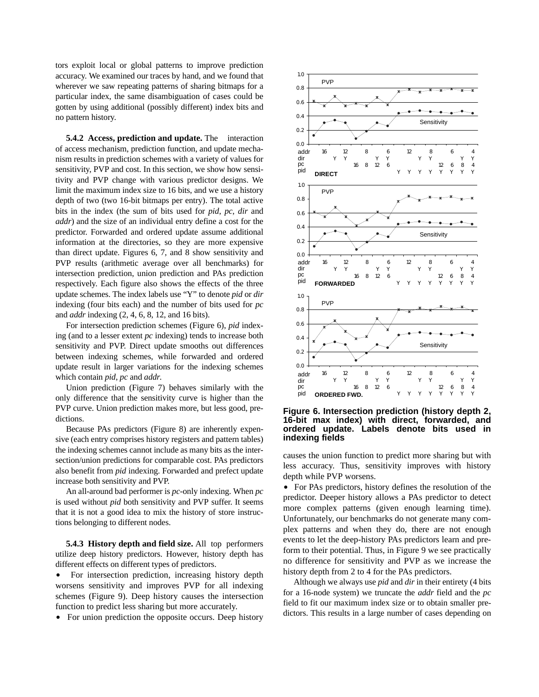tors exploit local or global patterns to improve prediction accuracy. We examined our traces by hand, and we found that wherever we saw repeating patterns of sharing bitmaps for a particular index, the same disambiguation of cases could be gotten by using additional (possibly different) index bits and no pattern history.

**5.4.2 Access, prediction and update.** The interaction of access mechanism, prediction function, and update mechanism results in prediction schemes with a variety of values for sensitivity, PVP and cost. In this section, we show how sensitivity and PVP change with various predictor designs. We limit the maximum index size to 16 bits, and we use a history depth of two (two 16-bit bitmaps per entry). The total active bits in the index (the sum of bits used for *pid*, *pc*, *dir* and *addr*) and the size of an individual entry define a cost for the predictor. Forwarded and ordered update assume additional information at the directories, so they are more expensive than direct update. Figures 6, [7](#page-9-0), and [8](#page-9-0) show sensitivity and PVP results (arithmetic average over all benchmarks) for intersection prediction, union prediction and PAs prediction respectively. Each figure also shows the effects of the three update schemes. The index labels use "Y" to denote *pid* or *dir* indexing (four bits each) and the number of bits used for *pc* and *addr* indexing (2, 4, 6, 8, 12, and 16 bits).

For intersection prediction schemes (Figure 6), *pid* indexing (and to a lesser extent *pc* indexing) tends to increase both sensitivity and PVP. Direct update smooths out differences between indexing schemes, while forwarded and ordered update result in larger variations for the indexing schemes which contain *pid*, *pc* and *addr*.

Union prediction [\(Figure 7\)](#page-9-0) behaves similarly with the only difference that the sensitivity curve is higher than the PVP curve. Union prediction makes more, but less good, predictions.

Because PAs predictors ([Figure 8\)](#page-9-0) are inherently expensive (each entry comprises history registers and pattern tables) the indexing schemes cannot include as many bits as the intersection/union predictions for comparable cost. PAs predictors also benefit from *pid* indexing. Forwarded and prefect update increase both sensitivity and PVP.

An all-around bad performer is *pc*-only indexing. When *pc* is used without *pid* both sensitivity and PVP suffer. It seems that it is not a good idea to mix the history of store instructions belonging to different nodes.

**5.4.3 History depth and field size.** All top performers utilize deep history predictors. However, history depth has different effects on different types of predictors.

**•** For intersection prediction, increasing history depth worsens sensitivity and improves PVP for all indexing schemes [\(Figure 9](#page-10-0)). Deep history causes the intersection function to predict less sharing but more accurately.

• For union prediction the opposite occurs. Deep history



**Figure 6. Intersection prediction (history depth 2, 16-bit max index) with direct, forwarded, and ordered update. Labels denote bits used in indexing fields**

causes the union function to predict more sharing but with less accuracy. Thus, sensitivity improves with history depth while PVP worsens.

**•** For PAs predictors, history defines the resolution of the predictor. Deeper history allows a PAs predictor to detect more complex patterns (given enough learning time). Unfortunately, our benchmarks do not generate many complex patterns and when they do, there are not enough events to let the deep-history PAs predictors learn and preform to their potential. Thus, in [Figure 9](#page-10-0) we see practically no difference for sensitivity and PVP as we increase the history depth from 2 to 4 for the PAs predictors.

Although we always use *pid* and *dir* in their entirety (4 bits for a 16-node system) we truncate the *addr* field and the *pc* field to fit our maximum index size or to obtain smaller predictors. This results in a large number of cases depending on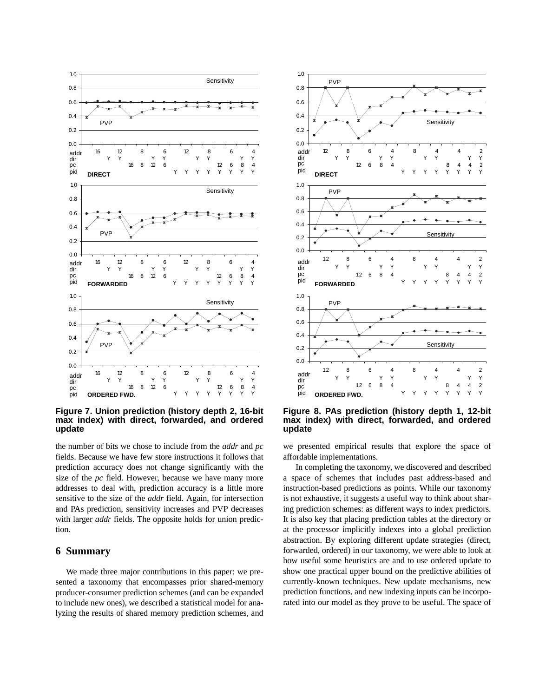<span id="page-9-0"></span>

**Figure 7. Union prediction (history depth 2, 16-bit max index) with direct, forwarded, and ordered update**

the number of bits we chose to include from the *addr* and *pc* fields. Because we have few store instructions it follows that prediction accuracy does not change significantly with the size of the *pc* field. However, because we have many more addresses to deal with, prediction accuracy is a little more sensitive to the size of the *addr* field. Again, for intersection and PAs prediction, sensitivity increases and PVP decreases with larger *addr* fields. The opposite holds for union prediction.

# **6 Summary**

We made three major contributions in this paper: we presented a taxonomy that encompasses prior shared-memory producer-consumer prediction schemes (and can be expanded to include new ones), we described a statistical model for analyzing the results of shared memory prediction schemes, and



**Figure 8. PAs prediction (history depth 1, 12-bit max index) with direct, forwarded, and ordered update**

we presented empirical results that explore the space of affordable implementations.

 In completing the taxonomy, we discovered and described a space of schemes that includes past address-based and instruction-based predictions as points. While our taxonomy is not exhaustive, it suggests a useful way to think about sharing prediction schemes: as different ways to index predictors. It is also key that placing prediction tables at the directory or at the processor implicitly indexes into a global prediction abstraction. By exploring different update strategies (direct, forwarded, ordered) in our taxonomy, we were able to look at how useful some heuristics are and to use ordered update to show one practical upper bound on the predictive abilities of currently-known techniques. New update mechanisms, new prediction functions, and new indexing inputs can be incorporated into our model as they prove to be useful. The space of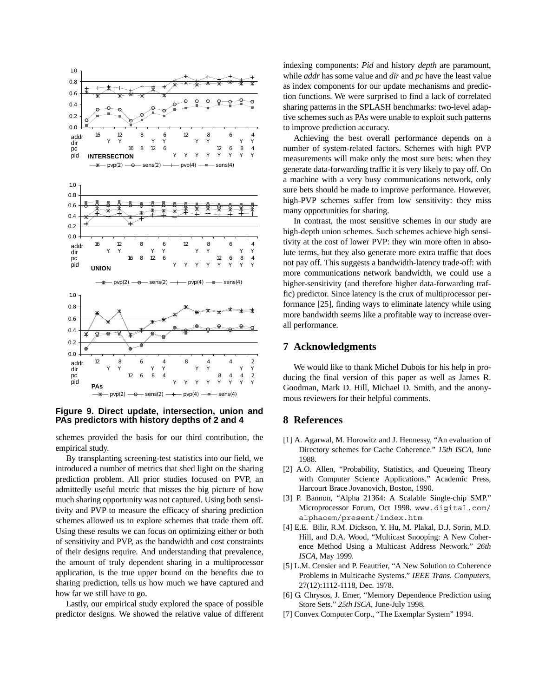<span id="page-10-0"></span>

**Figure 9. Direct update, intersection, union and PAs predictors with history depths of 2 and 4**

schemes provided the basis for our third contribution, the empirical study.

By transplanting screening-test statistics into our field, we introduced a number of metrics that shed light on the sharing prediction problem. All prior studies focused on PVP, an admittedly useful metric that misses the big picture of how much sharing opportunity was not captured. Using both sensitivity and PVP to measure the efficacy of sharing prediction schemes allowed us to explore schemes that trade them off. Using these results we can focus on optimizing either or both of sensitivity and PVP, as the bandwidth and cost constraints of their designs require. And understanding that prevalence, the amount of truly dependent sharing in a multiprocessor application, is the true upper bound on the benefits due to sharing prediction, tells us how much we have captured and how far we still have to go.

Lastly, our empirical study explored the space of possible predictor designs. We showed the relative value of different indexing components: *Pid* and history *depth* are paramount, while *addr* has some value and *dir* and *pc* have the least value as index components for our update mechanisms and prediction functions. We were surprised to find a lack of correlated sharing patterns in the SPLASH benchmarks: two-level adaptive schemes such as PAs were unable to exploit such patterns to improve prediction accuracy.

Achieving the best overall performance depends on a number of system-related factors. Schemes with high PVP measurements will make only the most sure bets: when they generate data-forwarding traffic it is very likely to pay off. On a machine with a very busy communications network, only sure bets should be made to improve performance. However, high-PVP schemes suffer from low sensitivity: they miss many opportunities for sharing.

In contrast, the most sensitive schemes in our study are high-depth union schemes. Such schemes achieve high sensitivity at the cost of lower PVP: they win more often in absolute terms, but they also generate more extra traffic that does not pay off. This suggests a bandwidth-latency trade-off: with more communications network bandwidth, we could use a higher-sensitivity (and therefore higher data-forwarding traffic) predictor. Since latency is the crux of multiprocessor performance [\[25\],](#page-11-0) finding ways to eliminate latency while using more bandwidth seems like a profitable way to increase overall performance.

# **7 Acknowledgments**

We would like to thank Michel Dubois for his help in producing the final version of this paper as well as James R. Goodman, Mark D. Hill, Michael D. Smith, and the anonymous reviewers for their helpful comments.

# **8 References**

- [1] A. Agarwal, M. Horowitz and J. Hennessy, "An evaluation of Directory schemes for Cache Coherence." *15th ISCA*, June 1988.
- [2] A.O. Allen, "Probability, Statistics, and Queueing Theory with Computer Science Applications." Academic Press, Harcourt Brace Jovanovich, Boston, 1990.
- [3] P. Bannon, "Alpha 21364: A Scalable Single-chip SMP." Microprocessor Forum, Oct 1998. www.digital.com/ alphaoem/present/index.htm
- [4] E.E. Bilir, R.M. Dickson, Y. Hu, M. Plakal, D.J. Sorin, M.D. Hill, and D.A. Wood, "Multicast Snooping: A New Coherence Method Using a Multicast Address Network." *26th ISCA*, May 1999.
- [5] L.M. Censier and P. Feautrier, "A New Solution to Coherence Problems in Multicache Systems." *IEEE Trans. Computers*, 27(12):1112-1118, Dec. 1978.
- [6] G. Chrysos, J. Emer, "Memory Dependence Prediction using Store Sets." *25th ISCA*, June-July 1998.
- [7] Convex Computer Corp., "The Exemplar System" 1994.